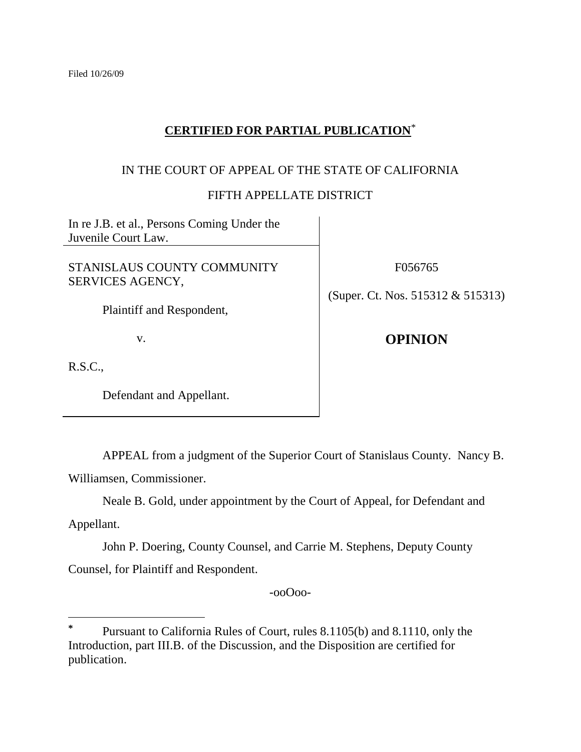# **CERTIFIED FOR PARTIAL PUBLICATION**\*

## IN THE COURT OF APPEAL OF THE STATE OF CALIFORNIA

### FIFTH APPELLATE DISTRICT

In re J.B. et al., Persons Coming Under the Juvenile Court Law.

STANISLAUS COUNTY COMMUNITY SERVICES AGENCY,

Plaintiff and Respondent,

v.

F056765

(Super. Ct. Nos. 515312 & 515313)

**OPINION**

R.S.C.,

Defendant and Appellant.

APPEAL from a judgment of the Superior Court of Stanislaus County. Nancy B.

Williamsen, Commissioner.

Neale B. Gold, under appointment by the Court of Appeal, for Defendant and

Appellant.

 $\overline{a}$ 

John P. Doering, County Counsel, and Carrie M. Stephens, Deputy County Counsel, for Plaintiff and Respondent.

-ooOoo-

**<sup>\*</sup>** Pursuant to California Rules of Court, rules 8.1105(b) and 8.1110, only the Introduction, part III.B. of the Discussion, and the Disposition are certified for publication.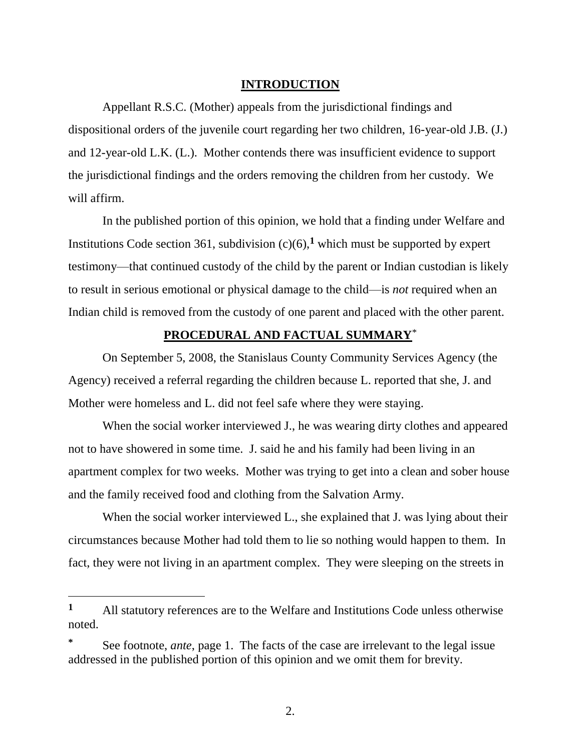#### **INTRODUCTION**

Appellant R.S.C. (Mother) appeals from the jurisdictional findings and dispositional orders of the juvenile court regarding her two children, 16-year-old J.B. (J.) and 12-year-old L.K. (L.). Mother contends there was insufficient evidence to support the jurisdictional findings and the orders removing the children from her custody. We will affirm.

In the published portion of this opinion, we hold that a finding under Welfare and Institutions Code section 361, subdivision  $(c)(6)$ , which must be supported by expert testimony—that continued custody of the child by the parent or Indian custodian is likely to result in serious emotional or physical damage to the child—is *not* required when an Indian child is removed from the custody of one parent and placed with the other parent.

# **PROCEDURAL AND FACTUAL SUMMARY**\*

On September 5, 2008, the Stanislaus County Community Services Agency (the Agency) received a referral regarding the children because L. reported that she, J. and Mother were homeless and L. did not feel safe where they were staying.

When the social worker interviewed J., he was wearing dirty clothes and appeared not to have showered in some time. J. said he and his family had been living in an apartment complex for two weeks. Mother was trying to get into a clean and sober house and the family received food and clothing from the Salvation Army.

When the social worker interviewed L., she explained that J. was lying about their circumstances because Mother had told them to lie so nothing would happen to them. In fact, they were not living in an apartment complex. They were sleeping on the streets in

**<sup>1</sup>** All statutory references are to the Welfare and Institutions Code unless otherwise noted.

**<sup>\*</sup>** See footnote, *ante*, page 1. The facts of the case are irrelevant to the legal issue addressed in the published portion of this opinion and we omit them for brevity.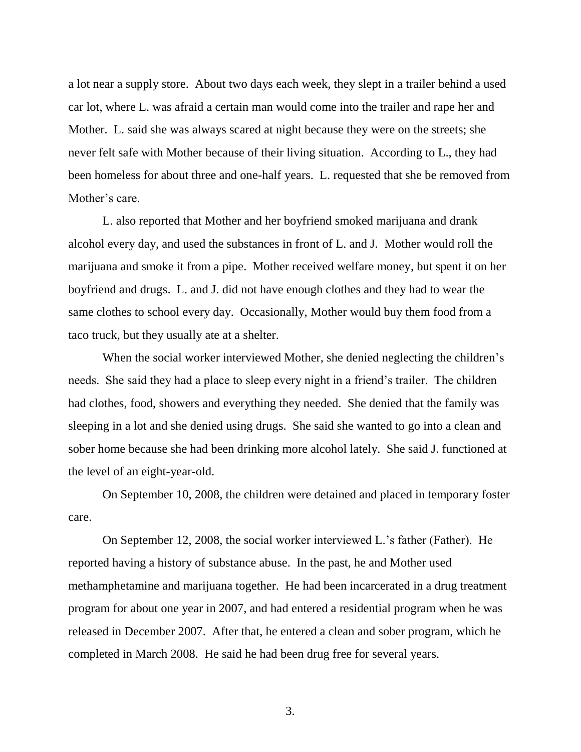a lot near a supply store. About two days each week, they slept in a trailer behind a used car lot, where L. was afraid a certain man would come into the trailer and rape her and Mother. L. said she was always scared at night because they were on the streets; she never felt safe with Mother because of their living situation. According to L., they had been homeless for about three and one-half years. L. requested that she be removed from Mother's care.

L. also reported that Mother and her boyfriend smoked marijuana and drank alcohol every day, and used the substances in front of L. and J. Mother would roll the marijuana and smoke it from a pipe. Mother received welfare money, but spent it on her boyfriend and drugs. L. and J. did not have enough clothes and they had to wear the same clothes to school every day. Occasionally, Mother would buy them food from a taco truck, but they usually ate at a shelter.

When the social worker interviewed Mother, she denied neglecting the children's needs. She said they had a place to sleep every night in a friend"s trailer. The children had clothes, food, showers and everything they needed. She denied that the family was sleeping in a lot and she denied using drugs. She said she wanted to go into a clean and sober home because she had been drinking more alcohol lately. She said J. functioned at the level of an eight-year-old.

On September 10, 2008, the children were detained and placed in temporary foster care.

On September 12, 2008, the social worker interviewed L."s father (Father). He reported having a history of substance abuse. In the past, he and Mother used methamphetamine and marijuana together. He had been incarcerated in a drug treatment program for about one year in 2007, and had entered a residential program when he was released in December 2007. After that, he entered a clean and sober program, which he completed in March 2008. He said he had been drug free for several years.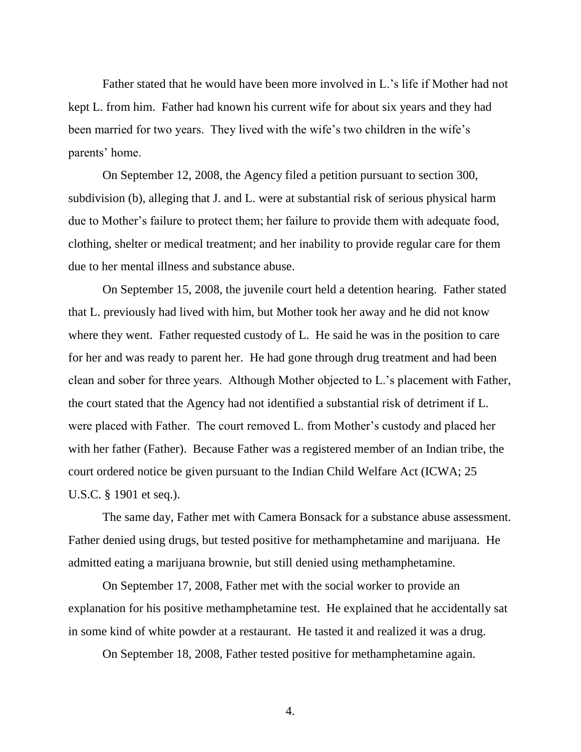Father stated that he would have been more involved in L."s life if Mother had not kept L. from him. Father had known his current wife for about six years and they had been married for two years. They lived with the wife's two children in the wife's parents' home.

On September 12, 2008, the Agency filed a petition pursuant to section 300, subdivision (b), alleging that J. and L. were at substantial risk of serious physical harm due to Mother's failure to protect them; her failure to provide them with adequate food, clothing, shelter or medical treatment; and her inability to provide regular care for them due to her mental illness and substance abuse.

On September 15, 2008, the juvenile court held a detention hearing. Father stated that L. previously had lived with him, but Mother took her away and he did not know where they went. Father requested custody of L. He said he was in the position to care for her and was ready to parent her. He had gone through drug treatment and had been clean and sober for three years. Although Mother objected to L."s placement with Father, the court stated that the Agency had not identified a substantial risk of detriment if L. were placed with Father. The court removed L. from Mother's custody and placed her with her father (Father). Because Father was a registered member of an Indian tribe, the court ordered notice be given pursuant to the Indian Child Welfare Act (ICWA; 25 U.S.C. § 1901 et seq.).

The same day, Father met with Camera Bonsack for a substance abuse assessment. Father denied using drugs, but tested positive for methamphetamine and marijuana. He admitted eating a marijuana brownie, but still denied using methamphetamine.

On September 17, 2008, Father met with the social worker to provide an explanation for his positive methamphetamine test. He explained that he accidentally sat in some kind of white powder at a restaurant. He tasted it and realized it was a drug.

On September 18, 2008, Father tested positive for methamphetamine again.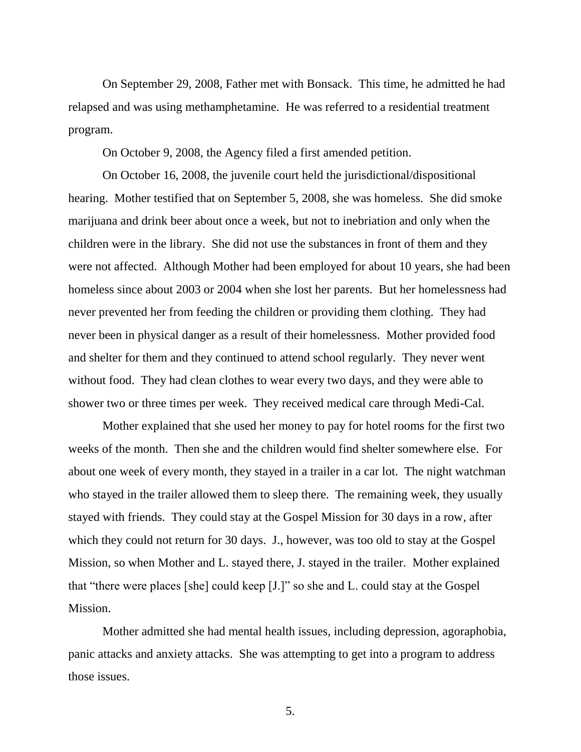On September 29, 2008, Father met with Bonsack. This time, he admitted he had relapsed and was using methamphetamine. He was referred to a residential treatment program.

On October 9, 2008, the Agency filed a first amended petition.

On October 16, 2008, the juvenile court held the jurisdictional/dispositional hearing. Mother testified that on September 5, 2008, she was homeless. She did smoke marijuana and drink beer about once a week, but not to inebriation and only when the children were in the library. She did not use the substances in front of them and they were not affected. Although Mother had been employed for about 10 years, she had been homeless since about 2003 or 2004 when she lost her parents. But her homelessness had never prevented her from feeding the children or providing them clothing. They had never been in physical danger as a result of their homelessness. Mother provided food and shelter for them and they continued to attend school regularly. They never went without food. They had clean clothes to wear every two days, and they were able to shower two or three times per week. They received medical care through Medi-Cal.

Mother explained that she used her money to pay for hotel rooms for the first two weeks of the month. Then she and the children would find shelter somewhere else. For about one week of every month, they stayed in a trailer in a car lot. The night watchman who stayed in the trailer allowed them to sleep there. The remaining week, they usually stayed with friends. They could stay at the Gospel Mission for 30 days in a row, after which they could not return for 30 days. J., however, was too old to stay at the Gospel Mission, so when Mother and L. stayed there, J. stayed in the trailer. Mother explained that "there were places [she] could keep [J.]" so she and L. could stay at the Gospel Mission.

Mother admitted she had mental health issues, including depression, agoraphobia, panic attacks and anxiety attacks. She was attempting to get into a program to address those issues.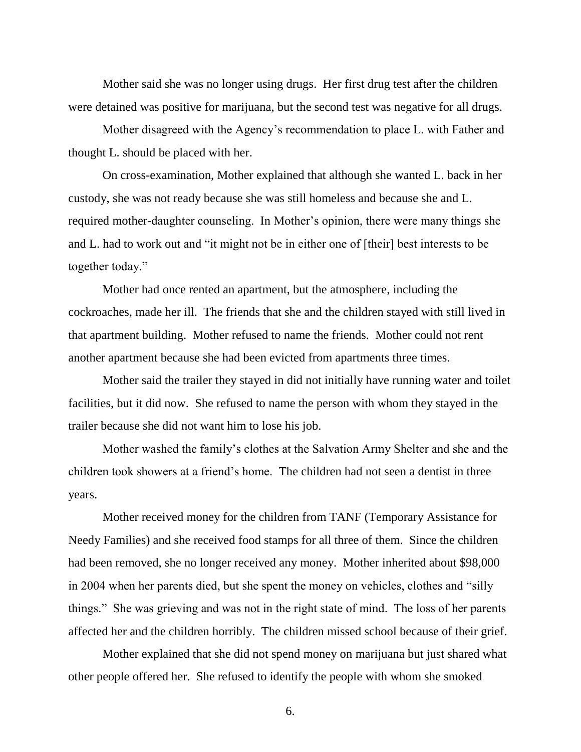Mother said she was no longer using drugs. Her first drug test after the children were detained was positive for marijuana, but the second test was negative for all drugs.

Mother disagreed with the Agency"s recommendation to place L. with Father and thought L. should be placed with her.

On cross-examination, Mother explained that although she wanted L. back in her custody, she was not ready because she was still homeless and because she and L. required mother-daughter counseling. In Mother"s opinion, there were many things she and L. had to work out and "it might not be in either one of [their] best interests to be together today."

Mother had once rented an apartment, but the atmosphere, including the cockroaches, made her ill. The friends that she and the children stayed with still lived in that apartment building. Mother refused to name the friends. Mother could not rent another apartment because she had been evicted from apartments three times.

Mother said the trailer they stayed in did not initially have running water and toilet facilities, but it did now. She refused to name the person with whom they stayed in the trailer because she did not want him to lose his job.

Mother washed the family"s clothes at the Salvation Army Shelter and she and the children took showers at a friend"s home. The children had not seen a dentist in three years.

Mother received money for the children from TANF (Temporary Assistance for Needy Families) and she received food stamps for all three of them. Since the children had been removed, she no longer received any money. Mother inherited about \$98,000 in 2004 when her parents died, but she spent the money on vehicles, clothes and "silly things." She was grieving and was not in the right state of mind. The loss of her parents affected her and the children horribly. The children missed school because of their grief.

Mother explained that she did not spend money on marijuana but just shared what other people offered her. She refused to identify the people with whom she smoked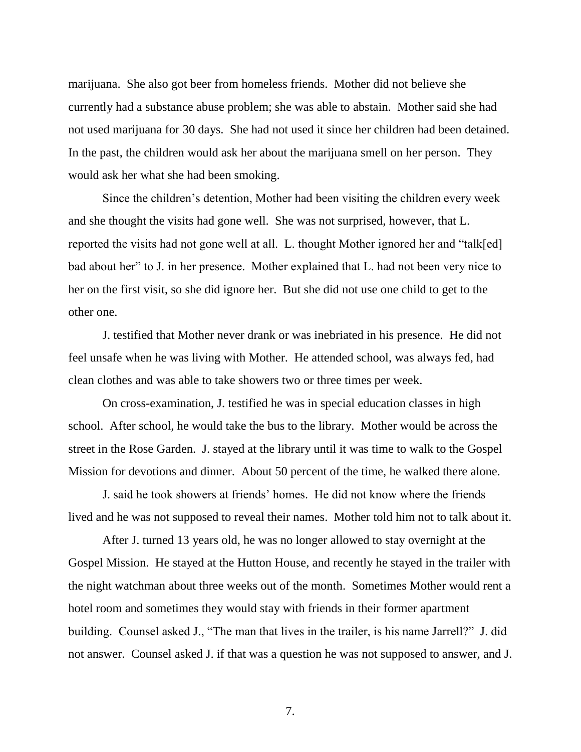marijuana. She also got beer from homeless friends. Mother did not believe she currently had a substance abuse problem; she was able to abstain. Mother said she had not used marijuana for 30 days. She had not used it since her children had been detained. In the past, the children would ask her about the marijuana smell on her person. They would ask her what she had been smoking.

Since the children"s detention, Mother had been visiting the children every week and she thought the visits had gone well. She was not surprised, however, that L. reported the visits had not gone well at all. L. thought Mother ignored her and "talk[ed] bad about her" to J. in her presence. Mother explained that L. had not been very nice to her on the first visit, so she did ignore her. But she did not use one child to get to the other one.

J. testified that Mother never drank or was inebriated in his presence. He did not feel unsafe when he was living with Mother. He attended school, was always fed, had clean clothes and was able to take showers two or three times per week.

On cross-examination, J. testified he was in special education classes in high school. After school, he would take the bus to the library. Mother would be across the street in the Rose Garden. J. stayed at the library until it was time to walk to the Gospel Mission for devotions and dinner. About 50 percent of the time, he walked there alone.

J. said he took showers at friends" homes. He did not know where the friends lived and he was not supposed to reveal their names. Mother told him not to talk about it.

After J. turned 13 years old, he was no longer allowed to stay overnight at the Gospel Mission. He stayed at the Hutton House, and recently he stayed in the trailer with the night watchman about three weeks out of the month. Sometimes Mother would rent a hotel room and sometimes they would stay with friends in their former apartment building. Counsel asked J., "The man that lives in the trailer, is his name Jarrell?" J. did not answer. Counsel asked J. if that was a question he was not supposed to answer, and J.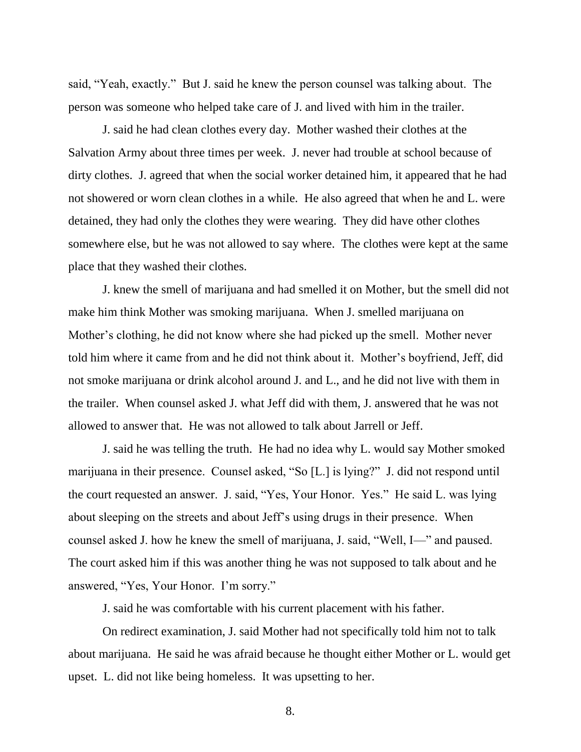said, "Yeah, exactly." But J. said he knew the person counsel was talking about. The person was someone who helped take care of J. and lived with him in the trailer.

J. said he had clean clothes every day. Mother washed their clothes at the Salvation Army about three times per week. J. never had trouble at school because of dirty clothes. J. agreed that when the social worker detained him, it appeared that he had not showered or worn clean clothes in a while. He also agreed that when he and L. were detained, they had only the clothes they were wearing. They did have other clothes somewhere else, but he was not allowed to say where. The clothes were kept at the same place that they washed their clothes.

J. knew the smell of marijuana and had smelled it on Mother, but the smell did not make him think Mother was smoking marijuana. When J. smelled marijuana on Mother"s clothing, he did not know where she had picked up the smell. Mother never told him where it came from and he did not think about it. Mother"s boyfriend, Jeff, did not smoke marijuana or drink alcohol around J. and L., and he did not live with them in the trailer. When counsel asked J. what Jeff did with them, J. answered that he was not allowed to answer that. He was not allowed to talk about Jarrell or Jeff.

J. said he was telling the truth. He had no idea why L. would say Mother smoked marijuana in their presence. Counsel asked, "So [L.] is lying?" J. did not respond until the court requested an answer. J. said, "Yes, Your Honor. Yes." He said L. was lying about sleeping on the streets and about Jeff"s using drugs in their presence. When counsel asked J. how he knew the smell of marijuana, J. said, "Well, I—" and paused. The court asked him if this was another thing he was not supposed to talk about and he answered, "Yes, Your Honor. I"m sorry."

J. said he was comfortable with his current placement with his father.

On redirect examination, J. said Mother had not specifically told him not to talk about marijuana. He said he was afraid because he thought either Mother or L. would get upset. L. did not like being homeless. It was upsetting to her.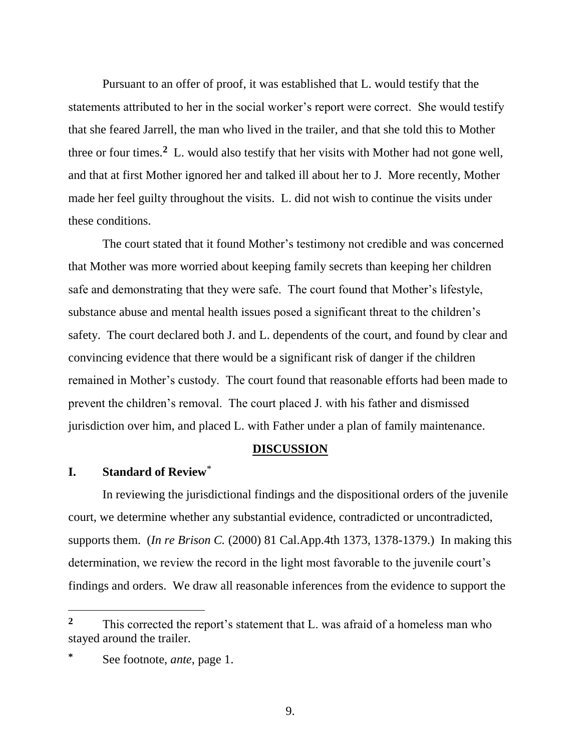Pursuant to an offer of proof, it was established that L. would testify that the statements attributed to her in the social worker"s report were correct. She would testify that she feared Jarrell, the man who lived in the trailer, and that she told this to Mother three or four times.**<sup>2</sup>** L. would also testify that her visits with Mother had not gone well, and that at first Mother ignored her and talked ill about her to J. More recently, Mother made her feel guilty throughout the visits. L. did not wish to continue the visits under these conditions.

The court stated that it found Mother"s testimony not credible and was concerned that Mother was more worried about keeping family secrets than keeping her children safe and demonstrating that they were safe. The court found that Mother's lifestyle, substance abuse and mental health issues posed a significant threat to the children's safety. The court declared both J. and L. dependents of the court, and found by clear and convincing evidence that there would be a significant risk of danger if the children remained in Mother"s custody. The court found that reasonable efforts had been made to prevent the children"s removal. The court placed J. with his father and dismissed jurisdiction over him, and placed L. with Father under a plan of family maintenance.

#### **DISCUSSION**

### **I. Standard of Review**\*

In reviewing the jurisdictional findings and the dispositional orders of the juvenile court, we determine whether any substantial evidence, contradicted or uncontradicted, supports them. (*In re Brison C.* (2000) 81 Cal.App.4th 1373, 1378-1379.) In making this determination, we review the record in the light most favorable to the juvenile court's findings and orders. We draw all reasonable inferences from the evidence to support the

<sup>&</sup>lt;sup>2</sup> This corrected the report's statement that L. was afraid of a homeless man who stayed around the trailer.

**<sup>\*</sup>** See footnote, *ante*, page 1.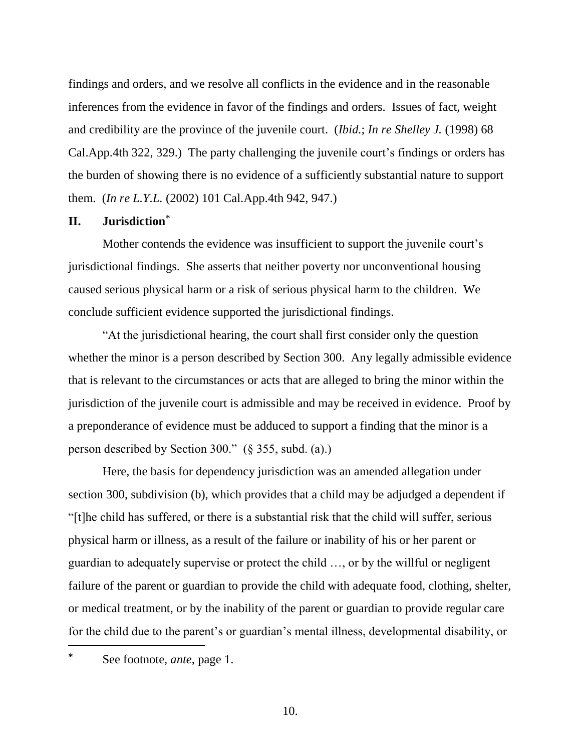findings and orders, and we resolve all conflicts in the evidence and in the reasonable inferences from the evidence in favor of the findings and orders. Issues of fact, weight and credibility are the province of the juvenile court. (*Ibid.*; *In re Shelley J.* (1998) 68 Cal.App.4th 322, 329.) The party challenging the juvenile court's findings or orders has the burden of showing there is no evidence of a sufficiently substantial nature to support them. (*In re L.Y.L.* (2002) 101 Cal.App.4th 942, 947.)

### **II. Jurisdiction**\*

Mother contends the evidence was insufficient to support the juvenile court's jurisdictional findings. She asserts that neither poverty nor unconventional housing caused serious physical harm or a risk of serious physical harm to the children. We conclude sufficient evidence supported the jurisdictional findings.

"At the jurisdictional hearing, the court shall first consider only the question whether the minor is a person described by Section 300. Any legally admissible evidence that is relevant to the circumstances or acts that are alleged to bring the minor within the jurisdiction of the juvenile court is admissible and may be received in evidence. Proof by a preponderance of evidence must be adduced to support a finding that the minor is a person described by Section 300." (§ 355, subd. (a).)

Here, the basis for dependency jurisdiction was an amended allegation under section 300, subdivision (b), which provides that a child may be adjudged a dependent if "[t]he child has suffered, or there is a substantial risk that the child will suffer, serious physical harm or illness, as a result of the failure or inability of his or her parent or guardian to adequately supervise or protect the child …, or by the willful or negligent failure of the parent or guardian to provide the child with adequate food, clothing, shelter, or medical treatment, or by the inability of the parent or guardian to provide regular care for the child due to the parent"s or guardian"s mental illness, developmental disability, or

**<sup>\*</sup>** See footnote, *ante*, page 1.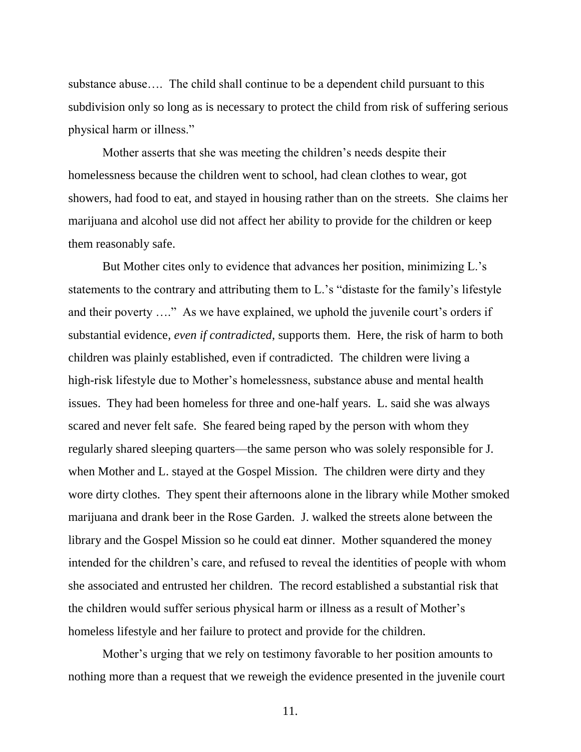substance abuse…. The child shall continue to be a dependent child pursuant to this subdivision only so long as is necessary to protect the child from risk of suffering serious physical harm or illness."

Mother asserts that she was meeting the children"s needs despite their homelessness because the children went to school, had clean clothes to wear, got showers, had food to eat, and stayed in housing rather than on the streets. She claims her marijuana and alcohol use did not affect her ability to provide for the children or keep them reasonably safe.

But Mother cites only to evidence that advances her position, minimizing L."s statements to the contrary and attributing them to L."s "distaste for the family"s lifestyle and their poverty ...." As we have explained, we uphold the juvenile court's orders if substantial evidence, *even if contradicted*, supports them. Here, the risk of harm to both children was plainly established, even if contradicted. The children were living a high-risk lifestyle due to Mother's homelessness, substance abuse and mental health issues. They had been homeless for three and one-half years. L. said she was always scared and never felt safe. She feared being raped by the person with whom they regularly shared sleeping quarters—the same person who was solely responsible for J. when Mother and L. stayed at the Gospel Mission. The children were dirty and they wore dirty clothes. They spent their afternoons alone in the library while Mother smoked marijuana and drank beer in the Rose Garden. J. walked the streets alone between the library and the Gospel Mission so he could eat dinner. Mother squandered the money intended for the children"s care, and refused to reveal the identities of people with whom she associated and entrusted her children. The record established a substantial risk that the children would suffer serious physical harm or illness as a result of Mother"s homeless lifestyle and her failure to protect and provide for the children.

Mother"s urging that we rely on testimony favorable to her position amounts to nothing more than a request that we reweigh the evidence presented in the juvenile court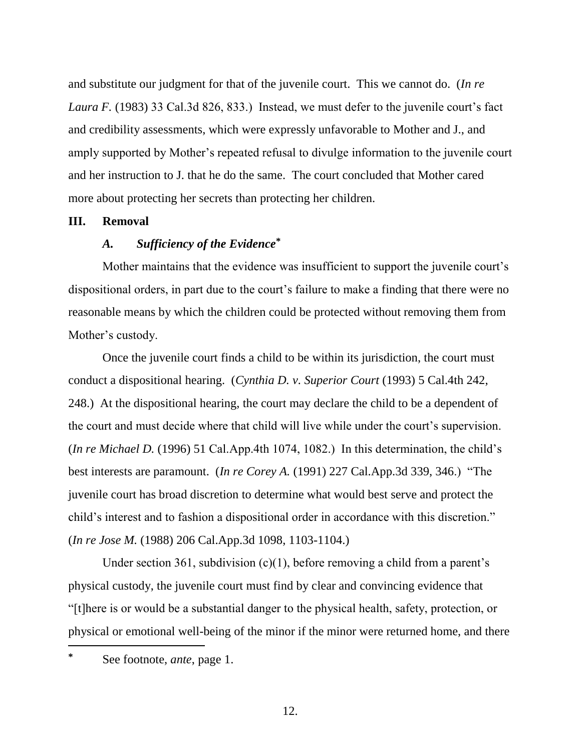and substitute our judgment for that of the juvenile court. This we cannot do. (*In re Laura F.* (1983) 33 Cal.3d 826, 833.) Instead, we must defer to the juvenile court's fact and credibility assessments, which were expressly unfavorable to Mother and J., and amply supported by Mother"s repeated refusal to divulge information to the juvenile court and her instruction to J. that he do the same. The court concluded that Mother cared more about protecting her secrets than protecting her children.

#### **III. Removal**

# *A. Sufficiency of the Evidence***\***

Mother maintains that the evidence was insufficient to support the juvenile court's dispositional orders, in part due to the court's failure to make a finding that there were no reasonable means by which the children could be protected without removing them from Mother's custody.

Once the juvenile court finds a child to be within its jurisdiction, the court must conduct a dispositional hearing. (*Cynthia D. v. Superior Court* (1993) 5 Cal.4th 242, 248.) At the dispositional hearing, the court may declare the child to be a dependent of the court and must decide where that child will live while under the court's supervision. (*In re Michael D.* (1996) 51 Cal.App.4th 1074, 1082.) In this determination, the child"s best interests are paramount. (*In re Corey A.* (1991) 227 Cal.App.3d 339, 346.) "The juvenile court has broad discretion to determine what would best serve and protect the child"s interest and to fashion a dispositional order in accordance with this discretion." (*In re Jose M.* (1988) 206 Cal.App.3d 1098, 1103-1104.)

Under section 361, subdivision  $(c)(1)$ , before removing a child from a parent's physical custody, the juvenile court must find by clear and convincing evidence that "[t]here is or would be a substantial danger to the physical health, safety, protection, or physical or emotional well-being of the minor if the minor were returned home, and there  $\overline{a}$ 

**<sup>\*</sup>** See footnote, *ante*, page 1.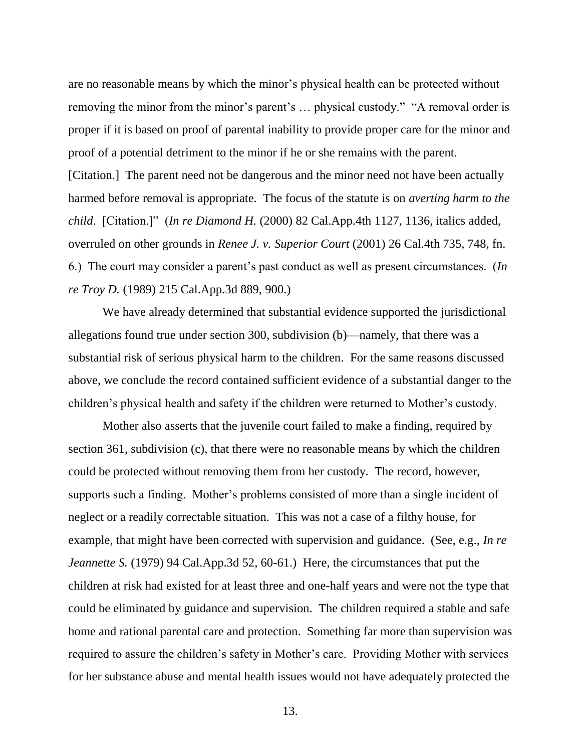are no reasonable means by which the minor"s physical health can be protected without removing the minor from the minor's parent's ... physical custody." "A removal order is proper if it is based on proof of parental inability to provide proper care for the minor and proof of a potential detriment to the minor if he or she remains with the parent. [Citation.] The parent need not be dangerous and the minor need not have been actually harmed before removal is appropriate. The focus of the statute is on *averting harm to the child*. [Citation.]" (*In re Diamond H.* (2000) 82 Cal.App.4th 1127, 1136, italics added, overruled on other grounds in *Renee J. v. Superior Court* (2001) 26 Cal.4th 735, 748, fn. 6.) The court may consider a parent"s past conduct as well as present circumstances. (*In re Troy D.* (1989) 215 Cal.App.3d 889, 900.)

We have already determined that substantial evidence supported the jurisdictional allegations found true under section 300, subdivision (b)—namely, that there was a substantial risk of serious physical harm to the children. For the same reasons discussed above, we conclude the record contained sufficient evidence of a substantial danger to the children's physical health and safety if the children were returned to Mother's custody.

Mother also asserts that the juvenile court failed to make a finding, required by section 361, subdivision (c), that there were no reasonable means by which the children could be protected without removing them from her custody. The record, however, supports such a finding. Mother's problems consisted of more than a single incident of neglect or a readily correctable situation. This was not a case of a filthy house, for example, that might have been corrected with supervision and guidance. (See, e.g., *In re Jeannette S.* (1979) 94 Cal.App.3d 52, 60-61.) Here, the circumstances that put the children at risk had existed for at least three and one-half years and were not the type that could be eliminated by guidance and supervision. The children required a stable and safe home and rational parental care and protection. Something far more than supervision was required to assure the children's safety in Mother's care. Providing Mother with services for her substance abuse and mental health issues would not have adequately protected the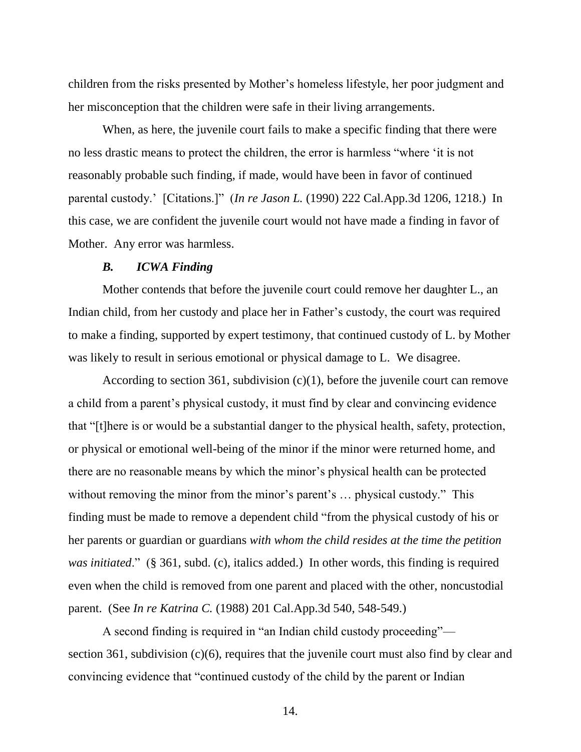children from the risks presented by Mother"s homeless lifestyle, her poor judgment and her misconception that the children were safe in their living arrangements.

When, as here, the juvenile court fails to make a specific finding that there were no less drastic means to protect the children, the error is harmless "where "it is not reasonably probable such finding, if made, would have been in favor of continued parental custody." [Citations.]" (*In re Jason L.* (1990) 222 Cal.App.3d 1206, 1218.) In this case, we are confident the juvenile court would not have made a finding in favor of Mother. Any error was harmless.

#### *B. ICWA Finding*

Mother contends that before the juvenile court could remove her daughter L., an Indian child, from her custody and place her in Father"s custody, the court was required to make a finding, supported by expert testimony, that continued custody of L. by Mother was likely to result in serious emotional or physical damage to L. We disagree.

According to section 361, subdivision  $(c)(1)$ , before the juvenile court can remove a child from a parent's physical custody, it must find by clear and convincing evidence that "[t]here is or would be a substantial danger to the physical health, safety, protection, or physical or emotional well-being of the minor if the minor were returned home, and there are no reasonable means by which the minor"s physical health can be protected without removing the minor from the minor's parent's ... physical custody." This finding must be made to remove a dependent child "from the physical custody of his or her parents or guardian or guardians *with whom the child resides at the time the petition was initiated*." (§ 361, subd. (c), italics added.) In other words, this finding is required even when the child is removed from one parent and placed with the other, noncustodial parent. (See *In re Katrina C.* (1988) 201 Cal.App.3d 540, 548-549.)

A second finding is required in "an Indian child custody proceeding" section 361, subdivision (c)(6), requires that the juvenile court must also find by clear and convincing evidence that "continued custody of the child by the parent or Indian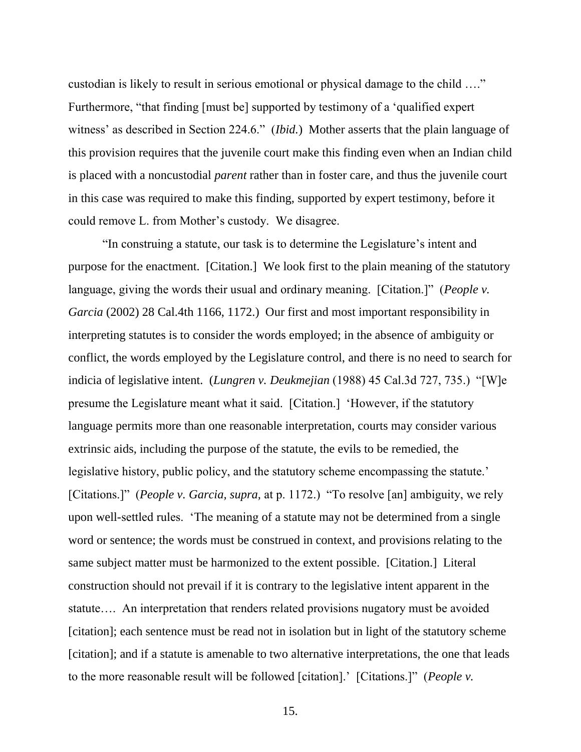custodian is likely to result in serious emotional or physical damage to the child …." Furthermore, "that finding [must be] supported by testimony of a "qualified expert witness' as described in Section 224.6." *(Ibid.)* Mother asserts that the plain language of this provision requires that the juvenile court make this finding even when an Indian child is placed with a noncustodial *parent* rather than in foster care, and thus the juvenile court in this case was required to make this finding, supported by expert testimony, before it could remove L. from Mother"s custody. We disagree.

"In construing a statute, our task is to determine the Legislature"s intent and purpose for the enactment. [Citation.] We look first to the plain meaning of the statutory language, giving the words their usual and ordinary meaning. [Citation.]" (*People v. Garcia* (2002) 28 Cal.4th 1166, 1172.) Our first and most important responsibility in interpreting statutes is to consider the words employed; in the absence of ambiguity or conflict, the words employed by the Legislature control, and there is no need to search for indicia of legislative intent. (*Lungren v. Deukmejian* (1988) 45 Cal.3d 727, 735.) "[W]e presume the Legislature meant what it said. [Citation.] "However, if the statutory language permits more than one reasonable interpretation, courts may consider various extrinsic aids, including the purpose of the statute, the evils to be remedied, the legislative history, public policy, and the statutory scheme encompassing the statute.' [Citations.]" (*People v. Garcia, supra,* at p. 1172.) "To resolve [an] ambiguity, we rely upon well-settled rules. "The meaning of a statute may not be determined from a single word or sentence; the words must be construed in context, and provisions relating to the same subject matter must be harmonized to the extent possible. [Citation.] Literal construction should not prevail if it is contrary to the legislative intent apparent in the statute…. An interpretation that renders related provisions nugatory must be avoided [citation]; each sentence must be read not in isolation but in light of the statutory scheme [citation]; and if a statute is amenable to two alternative interpretations, the one that leads to the more reasonable result will be followed [citation]." [Citations.]" (*People v.*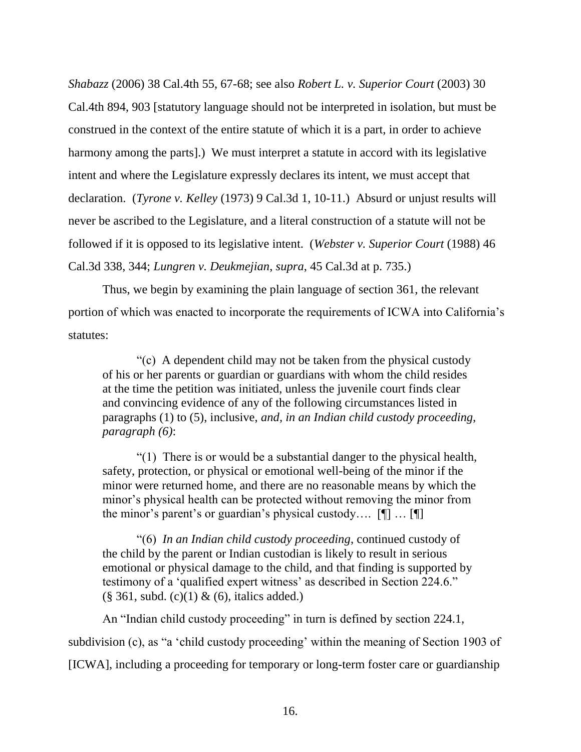*Shabazz* (2006) 38 Cal.4th 55, 67-68; see also *Robert L. v. Superior Court* (2003) 30 Cal.4th 894, 903 [statutory language should not be interpreted in isolation, but must be construed in the context of the entire statute of which it is a part, in order to achieve harmony among the parts].) We must interpret a statute in accord with its legislative intent and where the Legislature expressly declares its intent, we must accept that declaration. (*Tyrone v. Kelley* (1973) 9 Cal.3d 1, 10-11.) Absurd or unjust results will never be ascribed to the Legislature, and a literal construction of a statute will not be followed if it is opposed to its legislative intent. (*Webster v. Superior Court* (1988) 46 Cal.3d 338, 344; *Lungren v. Deukmejian*, *supra*, 45 Cal.3d at p. 735.)

Thus, we begin by examining the plain language of section 361, the relevant portion of which was enacted to incorporate the requirements of ICWA into California"s statutes:

"(c) A dependent child may not be taken from the physical custody of his or her parents or guardian or guardians with whom the child resides at the time the petition was initiated, unless the juvenile court finds clear and convincing evidence of any of the following circumstances listed in paragraphs (1) to (5), inclusive, *and, in an Indian child custody proceeding, paragraph (6)*:

"(1) There is or would be a substantial danger to the physical health, safety, protection, or physical or emotional well-being of the minor if the minor were returned home, and there are no reasonable means by which the minor"s physical health can be protected without removing the minor from the minor's parent's or guardian's physical custody....  $[\P]$  ...  $[\P]$ 

"(6) *In an Indian child custody proceeding*, continued custody of the child by the parent or Indian custodian is likely to result in serious emotional or physical damage to the child, and that finding is supported by testimony of a 'qualified expert witness' as described in Section 224.6."  $(\S 361, \text{subd.} (c)(1) \& (6), \text{italics added.})$ 

An "Indian child custody proceeding" in turn is defined by section 224.1, subdivision (c), as "a 'child custody proceeding' within the meaning of Section 1903 of [ICWA], including a proceeding for temporary or long-term foster care or guardianship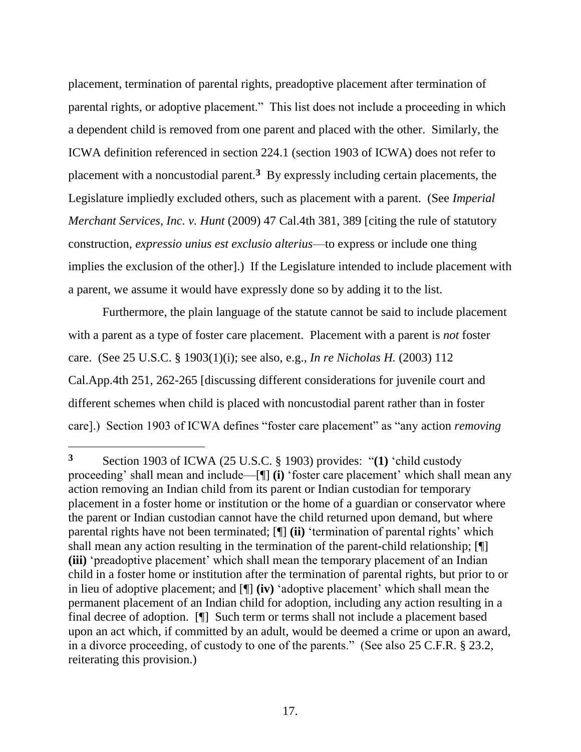placement, termination of parental rights, preadoptive placement after termination of parental rights, or adoptive placement." This list does not include a proceeding in which a dependent child is removed from one parent and placed with the other. Similarly, the ICWA definition referenced in section 224.1 (section 1903 of ICWA) does not refer to placement with a noncustodial parent.**<sup>3</sup>** By expressly including certain placements, the Legislature impliedly excluded others, such as placement with a parent. (See *Imperial Merchant Services, Inc. v. Hunt* (2009) 47 Cal.4th 381, 389 [citing the rule of statutory construction, *expressio unius est exclusio alterius*—to express or include one thing implies the exclusion of the other].) If the Legislature intended to include placement with a parent, we assume it would have expressly done so by adding it to the list.

Furthermore, the plain language of the statute cannot be said to include placement with a parent as a type of foster care placement. Placement with a parent is *not* foster care. (See 25 U.S.C. § 1903(1)(i); see also, e.g., *In re Nicholas H.* (2003) 112 Cal.App.4th 251, 262-265 [discussing different considerations for juvenile court and different schemes when child is placed with noncustodial parent rather than in foster care].) Section 1903 of ICWA defines "foster care placement" as "any action *removing* 

**<sup>3</sup>** Section 1903 of ICWA (25 U.S.C. § 1903) provides: "**(1)** "child custody proceeding' shall mean and include—[¶] **(i)** 'foster care placement' which shall mean any action removing an Indian child from its parent or Indian custodian for temporary placement in a foster home or institution or the home of a guardian or conservator where the parent or Indian custodian cannot have the child returned upon demand, but where parental rights have not been terminated; [¶] **(ii)** "termination of parental rights" which shall mean any action resulting in the termination of the parent-child relationship; [¶] **(iii)** 'preadoptive placement' which shall mean the temporary placement of an Indian child in a foster home or institution after the termination of parental rights, but prior to or in lieu of adoptive placement; and [¶] **(iv)** "adoptive placement" which shall mean the permanent placement of an Indian child for adoption, including any action resulting in a final decree of adoption. [¶] Such term or terms shall not include a placement based upon an act which, if committed by an adult, would be deemed a crime or upon an award, in a divorce proceeding, of custody to one of the parents." (See also 25 C.F.R. § 23.2, reiterating this provision.)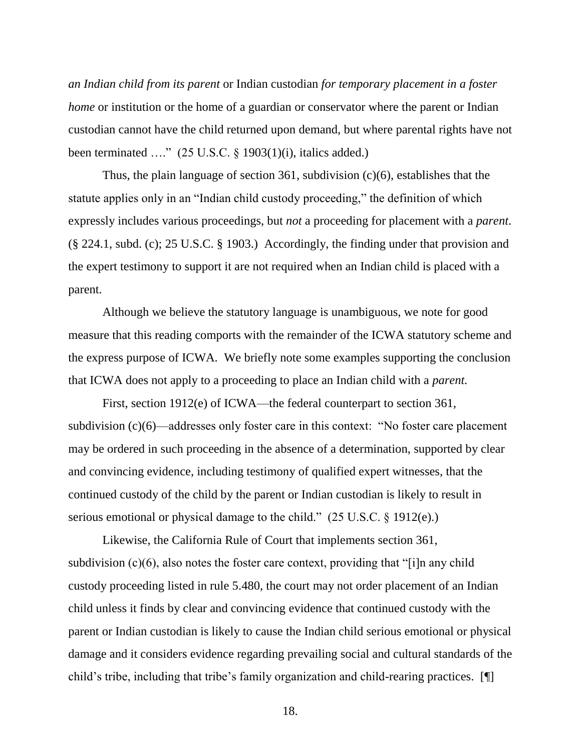*an Indian child from its parent* or Indian custodian *for temporary placement in a foster home* or institution or the home of a guardian or conservator where the parent or Indian custodian cannot have the child returned upon demand, but where parental rights have not been terminated  $\ldots$ " (25 U.S.C. § 1903(1)(i), italics added.)

Thus, the plain language of section 361, subdivision (c)(6), establishes that the statute applies only in an "Indian child custody proceeding," the definition of which expressly includes various proceedings, but *not* a proceeding for placement with a *parent*. (§ 224.1, subd. (c); 25 U.S.C. § 1903.) Accordingly, the finding under that provision and the expert testimony to support it are not required when an Indian child is placed with a parent.

Although we believe the statutory language is unambiguous, we note for good measure that this reading comports with the remainder of the ICWA statutory scheme and the express purpose of ICWA. We briefly note some examples supporting the conclusion that ICWA does not apply to a proceeding to place an Indian child with a *parent.*

First, section 1912(e) of ICWA—the federal counterpart to section 361, subdivision (c)(6)—addresses only foster care in this context: "No foster care placement may be ordered in such proceeding in the absence of a determination, supported by clear and convincing evidence, including testimony of qualified expert witnesses, that the continued custody of the child by the parent or Indian custodian is likely to result in serious emotional or physical damage to the child." (25 U.S.C. § 1912(e).)

Likewise, the California Rule of Court that implements section 361, subdivision (c)(6), also notes the foster care context, providing that "[i]n any child custody proceeding listed in rule 5.480, the court may not order placement of an Indian child unless it finds by clear and convincing evidence that continued custody with the parent or Indian custodian is likely to cause the Indian child serious emotional or physical damage and it considers evidence regarding prevailing social and cultural standards of the child's tribe, including that tribe's family organization and child-rearing practices. [¶]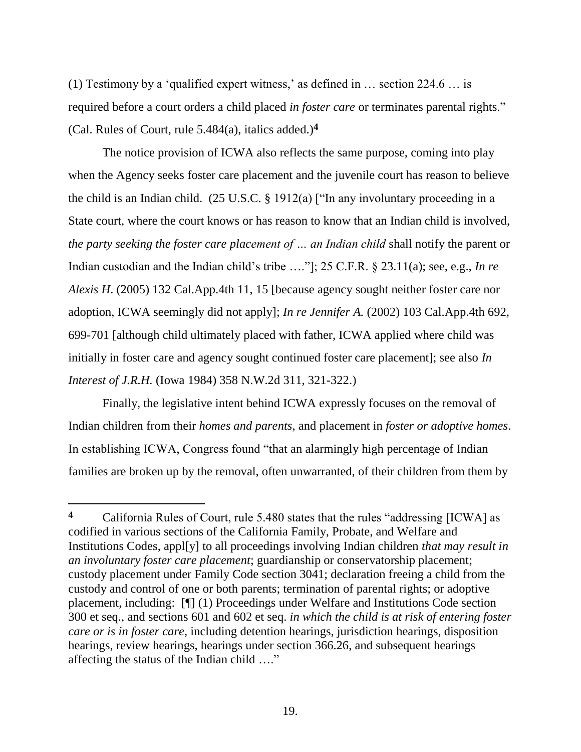(1) Testimony by a "qualified expert witness," as defined in … section 224.6 … is required before a court orders a child placed *in foster care* or terminates parental rights." (Cal. Rules of Court, rule 5.484(a), italics added.)**<sup>4</sup>**

The notice provision of ICWA also reflects the same purpose, coming into play when the Agency seeks foster care placement and the juvenile court has reason to believe the child is an Indian child. (25 U.S.C. § 1912(a) ["In any involuntary proceeding in a State court, where the court knows or has reason to know that an Indian child is involved, *the party seeking the foster care placement of … an Indian child* shall notify the parent or Indian custodian and the Indian child's tribe ...."]; 25 C.F.R. § 23.11(a); see, e.g., *In re Alexis H*. (2005) 132 Cal.App.4th 11, 15 [because agency sought neither foster care nor adoption, ICWA seemingly did not apply]; *In re Jennifer A.* (2002) 103 Cal.App.4th 692, 699-701 [although child ultimately placed with father, ICWA applied where child was initially in foster care and agency sought continued foster care placement]; see also *In Interest of J.R.H.* (Iowa 1984) 358 N.W.2d 311, 321-322.)

Finally, the legislative intent behind ICWA expressly focuses on the removal of Indian children from their *homes and parents*, and placement in *foster or adoptive homes*. In establishing ICWA, Congress found "that an alarmingly high percentage of Indian families are broken up by the removal, often unwarranted, of their children from them by

**<sup>4</sup>** California Rules of Court, rule 5.480 states that the rules "addressing [ICWA] as codified in various sections of the California Family, Probate, and Welfare and Institutions Codes, appl[y] to all proceedings involving Indian children *that may result in an involuntary foster care placement*; guardianship or conservatorship placement; custody placement under Family Code section 3041; declaration freeing a child from the custody and control of one or both parents; termination of parental rights; or adoptive placement, including: [¶] (1) Proceedings under Welfare and Institutions Code section 300 et seq., and sections 601 and 602 et seq. *in which the child is at risk of entering foster care or is in foster care*, including detention hearings, jurisdiction hearings, disposition hearings, review hearings, hearings under section 366.26, and subsequent hearings affecting the status of the Indian child …."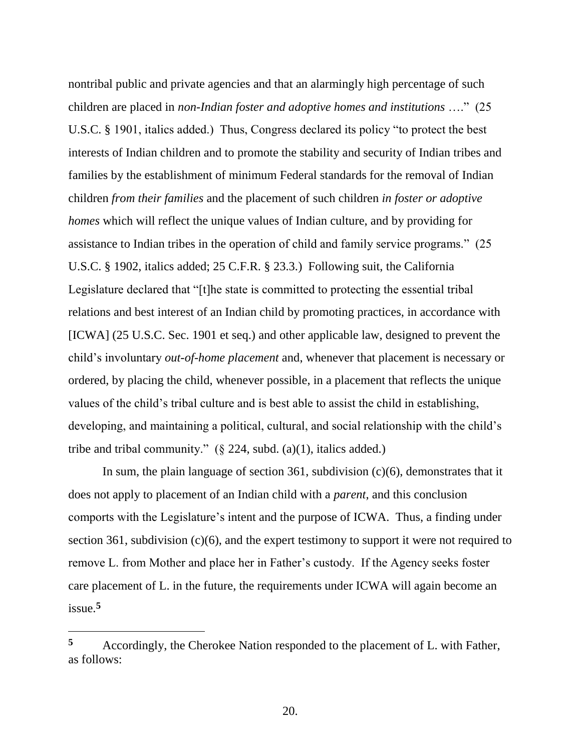nontribal public and private agencies and that an alarmingly high percentage of such children are placed in *non-Indian foster and adoptive homes and institutions* …." (25 U.S.C. § 1901, italics added.) Thus, Congress declared its policy "to protect the best interests of Indian children and to promote the stability and security of Indian tribes and families by the establishment of minimum Federal standards for the removal of Indian children *from their families* and the placement of such children *in foster or adoptive homes* which will reflect the unique values of Indian culture, and by providing for assistance to Indian tribes in the operation of child and family service programs." (25 U.S.C. § 1902, italics added; 25 C.F.R. § 23.3.) Following suit, the California Legislature declared that "[t]he state is committed to protecting the essential tribal relations and best interest of an Indian child by promoting practices, in accordance with [ICWA] (25 U.S.C. Sec. 1901 et seq.) and other applicable law, designed to prevent the child"s involuntary *out-of-home placement* and, whenever that placement is necessary or ordered, by placing the child, whenever possible, in a placement that reflects the unique values of the child"s tribal culture and is best able to assist the child in establishing, developing, and maintaining a political, cultural, and social relationship with the child's tribe and tribal community."  $(\S$  224, subd. (a)(1), italics added.)

In sum, the plain language of section 361, subdivision (c)(6), demonstrates that it does not apply to placement of an Indian child with a *parent*, and this conclusion comports with the Legislature"s intent and the purpose of ICWA. Thus, a finding under section 361, subdivision (c)(6), and the expert testimony to support it were not required to remove L. from Mother and place her in Father"s custody. If the Agency seeks foster care placement of L. in the future, the requirements under ICWA will again become an issue.**<sup>5</sup>**

**<sup>5</sup>** Accordingly, the Cherokee Nation responded to the placement of L. with Father, as follows: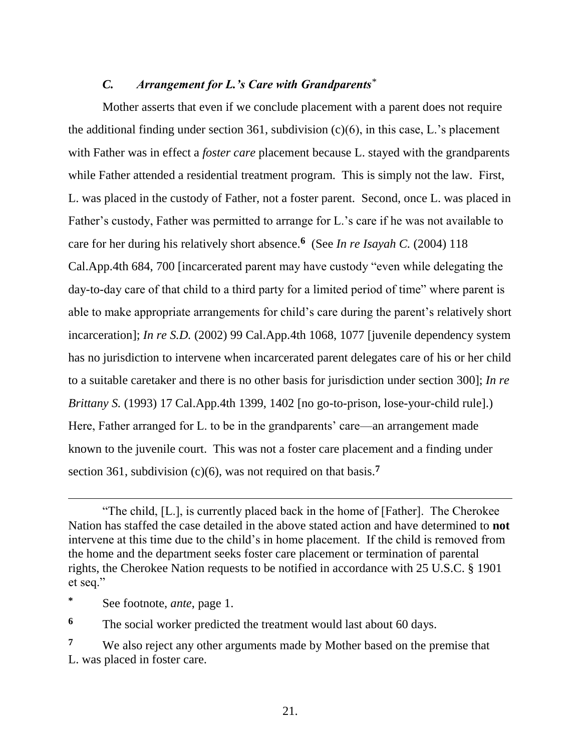### *C. Arrangement for L.'s Care with Grandparents\**

Mother asserts that even if we conclude placement with a parent does not require the additional finding under section 361, subdivision  $(c)(6)$ , in this case, L.'s placement with Father was in effect a *foster care* placement because L. stayed with the grandparents while Father attended a residential treatment program. This is simply not the law. First, L. was placed in the custody of Father, not a foster parent. Second, once L. was placed in Father's custody, Father was permitted to arrange for L.'s care if he was not available to care for her during his relatively short absence.**<sup>6</sup>** (See *In re Isayah C.* (2004) 118 Cal.App.4th 684, 700 [incarcerated parent may have custody "even while delegating the day-to-day care of that child to a third party for a limited period of time" where parent is able to make appropriate arrangements for child"s care during the parent"s relatively short incarceration]; *In re S.D.* (2002) 99 Cal.App.4th 1068, 1077 [juvenile dependency system has no jurisdiction to intervene when incarcerated parent delegates care of his or her child to a suitable caretaker and there is no other basis for jurisdiction under section 300]; *In re Brittany S.* (1993) 17 Cal.App.4th 1399, 1402 [no go-to-prison, lose-your-child rule].) Here, Father arranged for L. to be in the grandparents' care—an arrangement made known to the juvenile court. This was not a foster care placement and a finding under section 361, subdivision (c)(6), was not required on that basis.**<sup>7</sup>**

 $\overline{a}$ 

**<sup>6</sup>** The social worker predicted the treatment would last about 60 days.

<sup>&</sup>quot;The child, [L.], is currently placed back in the home of [Father]. The Cherokee Nation has staffed the case detailed in the above stated action and have determined to **not**  intervene at this time due to the child"s in home placement. If the child is removed from the home and the department seeks foster care placement or termination of parental rights, the Cherokee Nation requests to be notified in accordance with 25 U.S.C. § 1901 et seq."

**<sup>\*</sup>** See footnote, *ante*, page 1.

**<sup>7</sup>** We also reject any other arguments made by Mother based on the premise that L. was placed in foster care.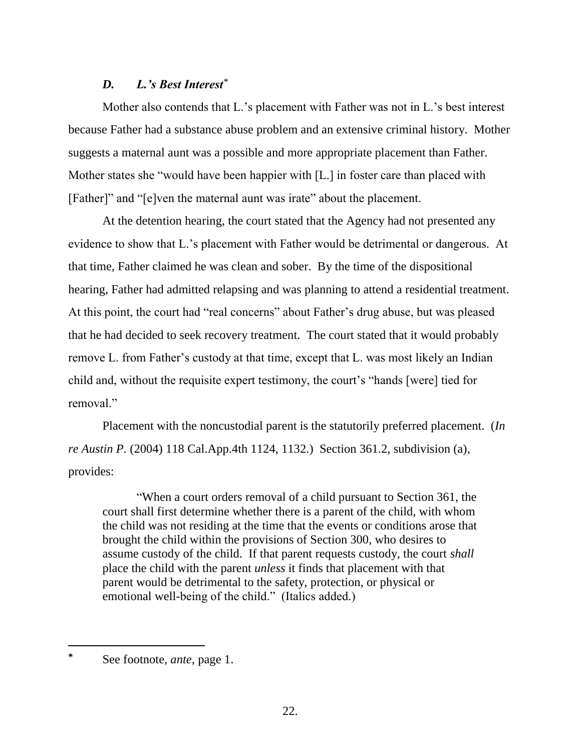### *D. L.'s Best Interest\**

Mother also contends that L.'s placement with Father was not in L.'s best interest because Father had a substance abuse problem and an extensive criminal history. Mother suggests a maternal aunt was a possible and more appropriate placement than Father. Mother states she "would have been happier with [L.] in foster care than placed with [Father]" and "[e]ven the maternal aunt was irate" about the placement.

At the detention hearing, the court stated that the Agency had not presented any evidence to show that L.'s placement with Father would be detrimental or dangerous. At that time, Father claimed he was clean and sober. By the time of the dispositional hearing, Father had admitted relapsing and was planning to attend a residential treatment. At this point, the court had "real concerns" about Father"s drug abuse, but was pleased that he had decided to seek recovery treatment. The court stated that it would probably remove L. from Father"s custody at that time, except that L. was most likely an Indian child and, without the requisite expert testimony, the court's "hands [were] tied for removal."

Placement with the noncustodial parent is the statutorily preferred placement. (*In re Austin P.* (2004) 118 Cal.App.4th 1124, 1132.) Section 361.2, subdivision (a), provides:

"When a court orders removal of a child pursuant to Section 361, the court shall first determine whether there is a parent of the child, with whom the child was not residing at the time that the events or conditions arose that brought the child within the provisions of Section 300, who desires to assume custody of the child. If that parent requests custody, the court *shall* place the child with the parent *unless* it finds that placement with that parent would be detrimental to the safety, protection, or physical or emotional well-being of the child." (Italics added.)

**<sup>\*</sup>** See footnote, *ante*, page 1.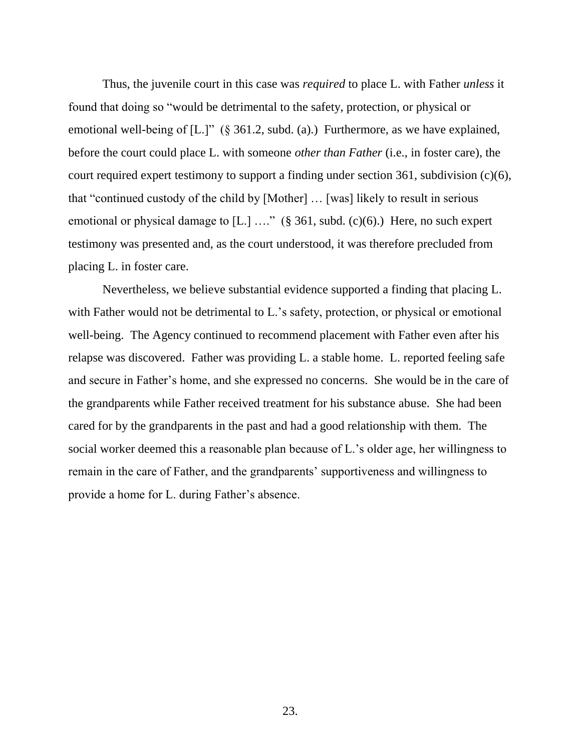Thus, the juvenile court in this case was *required* to place L. with Father *unless* it found that doing so "would be detrimental to the safety, protection, or physical or emotional well-being of [L.]" (§ 361.2, subd. (a).) Furthermore, as we have explained, before the court could place L. with someone *other than Father* (i.e., in foster care), the court required expert testimony to support a finding under section 361, subdivision (c)(6), that "continued custody of the child by [Mother] … [was] likely to result in serious emotional or physical damage to  $[L]$  ...." (§ 361, subd. (c)(6).) Here, no such expert testimony was presented and, as the court understood, it was therefore precluded from placing L. in foster care.

Nevertheless, we believe substantial evidence supported a finding that placing L. with Father would not be detrimental to L.'s safety, protection, or physical or emotional well-being. The Agency continued to recommend placement with Father even after his relapse was discovered. Father was providing L. a stable home. L. reported feeling safe and secure in Father"s home, and she expressed no concerns. She would be in the care of the grandparents while Father received treatment for his substance abuse. She had been cared for by the grandparents in the past and had a good relationship with them. The social worker deemed this a reasonable plan because of L.'s older age, her willingness to remain in the care of Father, and the grandparents' supportiveness and willingness to provide a home for L. during Father"s absence.